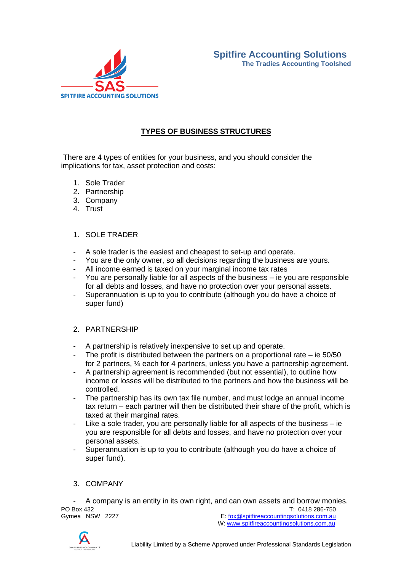

# **TYPES OF BUSINESS STRUCTURES**

There are 4 types of entities for your business, and you should consider the implications for tax, asset protection and costs:

- 1. Sole Trader
- 2. Partnership
- 3. Company
- 4. Trust

## 1. SOLE TRADER

- A sole trader is the easiest and cheapest to set-up and operate.
- You are the only owner, so all decisions regarding the business are yours.
- All income earned is taxed on your marginal income tax rates
- You are personally liable for all aspects of the business ie you are responsible for all debts and losses, and have no protection over your personal assets.
- Superannuation is up to you to contribute (although you do have a choice of super fund)

#### 2. PARTNERSHIP

- A partnership is relatively inexpensive to set up and operate.
- The profit is distributed between the partners on a proportional rate  $-$  ie 50/50 for 2 partners, ¼ each for 4 partners, unless you have a partnership agreement.
- A partnership agreement is recommended (but not essential), to outline how income or losses will be distributed to the partners and how the business will be controlled.
- The partnership has its own tax file number, and must lodge an annual income tax return – each partner will then be distributed their share of the profit, which is taxed at their marginal rates.
- Like a sole trader, you are personally liable for all aspects of the business  $-$  ie you are responsible for all debts and losses, and have no protection over your personal assets.
- Superannuation is up to you to contribute (although you do have a choice of super fund).

## 3. COMPANY

PO Box 432 T: 0418 286-750<br>Gymea NSW 2227 E: fox@spitfireaccountingsolutions.com.au - A company is an entity in its own right, and can own assets and borrow monies.

E: [fox@spitfireaccountingsolutions.com.au](mailto:fox@spitfireaccountingsolutions.com.au) W: [www.spitfireaccountingsolutions.com.au](http://www.spitfireaccountingsolutions.com.au/)